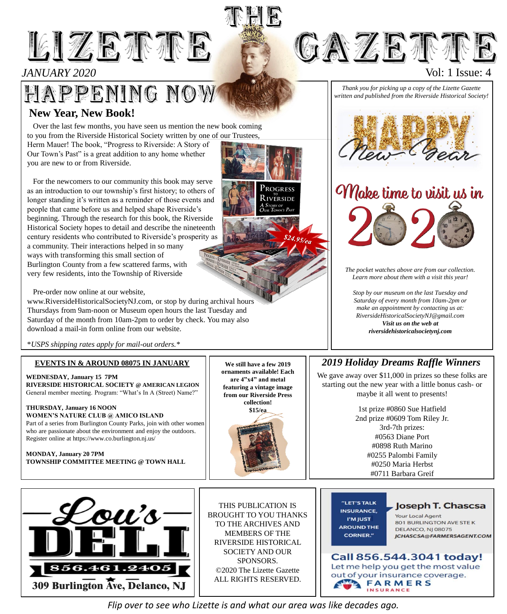# LIZETTE

## *JANUARY 2020*

## HAPPENING NOW **New Year, New Book!**

Over the last few months, you have seen us mention the new book coming to you from the Riverside Historical Society written by one of our Trustees, Herm Mauer! The book, "Progress to Riverside: A Story of Our Town's Past" is a great addition to any home whether

For the newcomers to our community this book may serve as an introduction to our township's first history; to others of longer standing it's written as a reminder of those events and people that came before us and helped shape Riverside's beginning. Through the research for this book, the Riverside Historical Society hopes to detail and describe the nineteenth century residents who contributed to Riverside's prosperity as a community. Their interactions helped in so many ways with transforming this small section of Burlington County from a few scattered farms, with very few residents, into the Township of Riverside

Pre-order now online at our website,

you are new to or from Riverside.

www.RiversideHistoricalSocietyNJ.com, or stop by during archival hours Thursdays from 9am-noon or Museum open hours the last Tuesday and Saturday of the month from 10am-2pm to order by check. You may also download a mail-in form online from our website.

\**USPS shipping rates apply for mail-out orders.\**

#### **EVENTS IN & AROUND 08075 IN JANUARY**

**WEDNESDAY, January 15 7PM RIVERSIDE HISTORICAL SOCIETY @ AMERICAN LEGION** General member meeting. Program: "What's In A (Street) Name?"

#### **THURSDAY, January 16 NOON WOMEN'S NATURE CLUB @ AMICO ISLAND**

Part of a series from Burlington County Parks, join with other women who are passionate about the environment and enjoy the outdoors. Register online at https://www.co.burlington.nj.us/

#### **MONDAY, January 20 7PM TOWNSHIP COMMITTEE MEETING @ TOWN HALL**



THIS PUBLICATION IS BROUGHT TO YOU THANKS TO THE ARCHIVES AND MEMBERS OF THE RIVERSIDE HISTORICAL SOCIETY AND OUR SPONSORS. ©2020 The Lizette Gazette ALL RIGHTS RESERVED.

**We still have a few 2019 ornaments available! Each are 4"x4" and metal featuring a vintage image from our Riverside Press collection! \$15/ea**

#### *Thank you for picking up a copy of the Lizette Gazette written and published from the Riverside Historical Society!*

**GAZETTE** 



Make time to visit us in



*Stop by our museum on the last Tuesday and Saturday of every month from 10am-2pm or make an appointment by contacting us at: RiversideHistoricalSocietyNJ@gmail.com Visit us on the web at riversidehistoricalsocietynj.com*

## *2019 Holiday Dreams Raffle Winners*

We gave away over \$11,000 in prizes so these folks are starting out the new year with a little bonus cash- or maybe it all went to presents!

> 1st prize #0860 Sue Hatfield 2nd prize #0609 Tom Riley Jr. 3rd-7th prizes: #0563 Diane Port #0898 Ruth Marino #0255 Palombi Family #0250 Maria Herbst #0711 Barbara Greif

"LET'S TALK **INSURANCE.** I'M JUST **AROUND THE**  Joseph T. Chascsa

**Your Local Agent** 801 BURLINGTON AVE STEK **DELANCO, NJ 08075** 



*Flip over to see who Lizette is and what our area was like decades ago.*





Vol: 1 Issue: 4